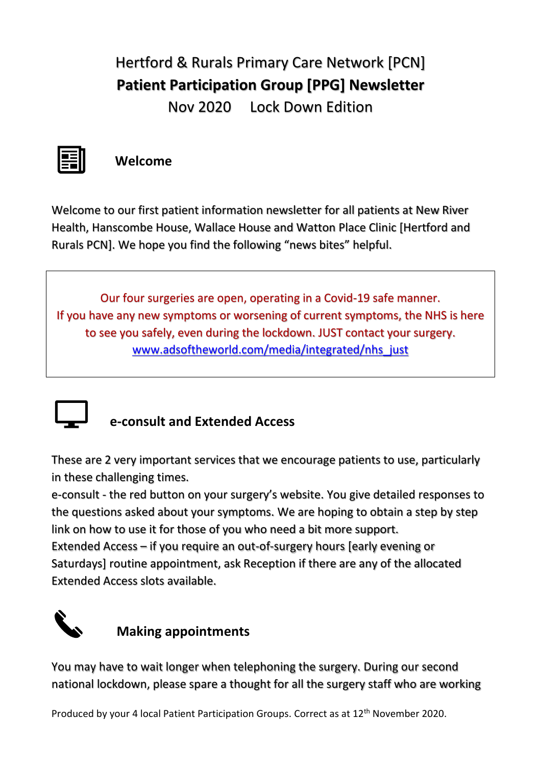## Hertford & Rurals Primary Care Network [PCN] **Patient Participation Group [PPG] Newsletter** Nov 2020 Lock Down Edition



## **Welcome**

Welcome to our first patient information newsletter for all patients at New River Health, Hanscombe House, Wallace House and Watton Place Clinic [Hertford and Rurals PCN]. We hope you find the following "news bites" helpful.

Our four surgeries are open, operating in a Covid-19 safe manner. If you have any new symptoms or worsening of current symptoms, the NHS is here to see you safely, even during the lockdown. JUST contact your surgery. [www.adsoftheworld.com/media/integrated/nhs\\_just](http://www.adsoftheworld.com/media/integrated/nhs_just)



## **e-consult and Extended Access**

These are 2 very important services that we encourage patients to use, particularly in these challenging times.

e-consult - the red button on your surgery's website. You give detailed responses to the questions asked about your symptoms. We are hoping to obtain a step by step link on how to use it for those of you who need a bit more support.

Extended Access – if you require an out-of-surgery hours [early evening or Saturdays] routine appointment, ask Reception if there are any of the allocated Extended Access slots available.



## **Making appointments**

You may have to wait longer when telephoning the surgery. During our second national lockdown, please spare a thought for all the surgery staff who are working

Produced by your 4 local Patient Participation Groups. Correct as at 12th November 2020.